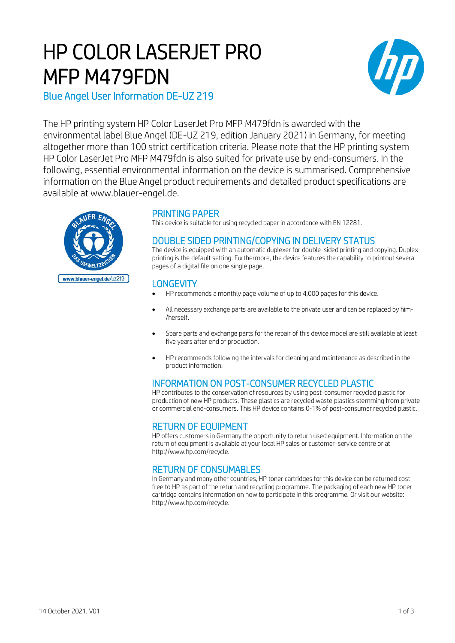# HP COLOR LASERJET PRO MFP M479FDN



Blue Angel User Information DE-UZ 219

The HP printing system HP Color LaserJet Pro MFP M479fdn is awarded with the environmental label Blue Angel (DE-UZ 219, edition January 2021) in Germany, for meeting altogether more than 100 strict certification criteria. Please note that the HP printing system HP Color LaserJet Pro MFP M479fdn is also suited for private use by end-consumers. In the following, essential environmental information on the device is summarised. Comprehensive information on the Blue Angel product requirements and detailed product specifications are available at www.blauer-engel.de.



## PRINTING PAPER

This device is suitable for using recycled paper in accordance with EN 12281.

## DOUBLE SIDED PRINTING/COPYING IN DELIVERY STATUS

The device is equipped with an automatic duplexer for double-sided printing and copying. Duplex printing is the default setting. Furthermore, the device features the capability to printout several pages of a digital file on one single page.

#### **LONGEVITY**

- HP recommends a monthly page volume of up to 4,000 pages for this device.
- All necessary exchange parts are available to the private user and can be replaced by him- /herself.
- Spare parts and exchange parts for the repair of this device model are still available at least five years after end of production.
- HP recommends following the intervals for cleaning and maintenance as described in the product information.

# INFORMATION ON POST-CONSUMER RECYCLED PLASTIC

HP contributes to the conservation of resources by using post-consumer recycled plastic for production of new HP products. These plastics are recycled waste plastics stemming from private or commercial end-consumers. This HP device contains 0-1% of post-consumer recycled plastic.

## RETURN OF EQUIPMENT

HP offers customers in Germany the opportunity to return used equipment. Information on the return of equipment is available at your local HP sales or customer-service centre or at http://www.hp.com/recycle.

# RETURN OF CONSUMABLES

In Germany and many other countries, HP toner cartridges for this device can be returned costfree to HP as part of the return and recycling programme. The packaging of each new HP toner cartridge contains information on how to participate in this programme. Or visit our website: http://www.hp.com/recycle.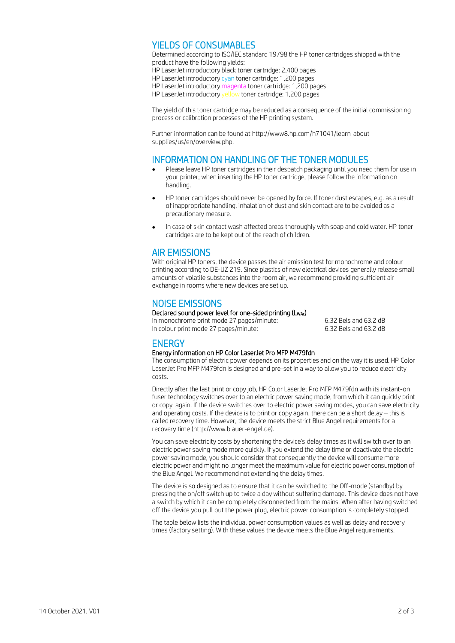## YIELDS OF CONSUMABLES

Determined according to ISO/IEC standard 19798 the HP toner cartridges shipped with the product have the following yields: HP LaserJet introductory black toner cartridge: 2,400 pages HP LaserJet introductory cyan toner cartridge: 1,200 pages HP LaserJet introductory magenta toner cartridge: 1,200 pages HP LaserJet introductory yellow toner cartridge: 1,200 pages

The yield of this toner cartridge may be reduced as a consequence of the initial commissioning process or calibration processes of the HP printing system.

Further information can be found at http://www8.hp.com/h71041/learn-aboutsupplies/us/en/overview.php.

#### INFORMATION ON HANDLING OF THE TONER MODULES

- Please leave HP toner cartridges in their despatch packaging until you need them for use in your printer; when inserting the HP toner cartridge, please follow the information on handling.
- HP toner cartridges should never be opened by force. If toner dust escapes, e.g. as a result of inappropriate handling, inhalation of dust and skin contact are to be avoided as a precautionary measure.
- In case of skin contact wash affected areas thoroughly with soap and cold water. HP toner cartridges are to be kept out of the reach of children.

## AIR EMISSIONS

With original HP toners, the device passes the air emission test for monochrome and colour printing according to DE-UZ 219. Since plastics of new electrical devices generally release small amounts of volatile substances into the room air, we recommend providing sufficient air exchange in rooms where new devices are set up.

## NOISE EMISSIONS

#### Declared sound power level for one-sided printing (LwAc)

In monochrome print mode 27 pages/minute: 6.32 Bels and 63.2 dB In colour print mode 27 pages/minute: 6.32 Bels and 63.2 dB

# ENERGY

#### Energy information on HP Color LaserJet Pro MFP M479fdn

The consumption of electric power depends on its properties and on the way it is used. HP Color LaserJet Pro MFP M479fdn is designed and pre-set in a way to allow you to reduce electricity costs.

Directly after the last print or copy job, HP Color LaserJet Pro MFP M479fdn with its instant-on fuser technology switches over to an electric power saving mode, from which it can quickly print or copy again. If the device switches over to electric power saving modes, you can save electricity and operating costs. If the device is to print or copy again, there can be a short delay – this is called recovery time. However, the device meets the strict Blue Angel requirements for a recovery time (http://www.blauer-engel.de).

You can save electricity costs by shortening the device's delay times as it will switch over to an electric power saving mode more quickly. If you extend the delay time or deactivate the electric power saving mode, you should consider that consequently the device will consume more electric power and might no longer meet the maximum value for electric power consumption of the Blue Angel. We recommend not extending the delay times.

The device is so designed as to ensure that it can be switched to the Off-mode (standby) by pressing the on/off switch up to twice a day without suffering damage. This device does not have a switch by which it can be completely disconnected from the mains. When after having switched off the device you pull out the power plug, electric power consumption is completely stopped.

The table below lists the individual power consumption values as well as delay and recovery times (factory setting). With these values the device meets the Blue Angel requirements.